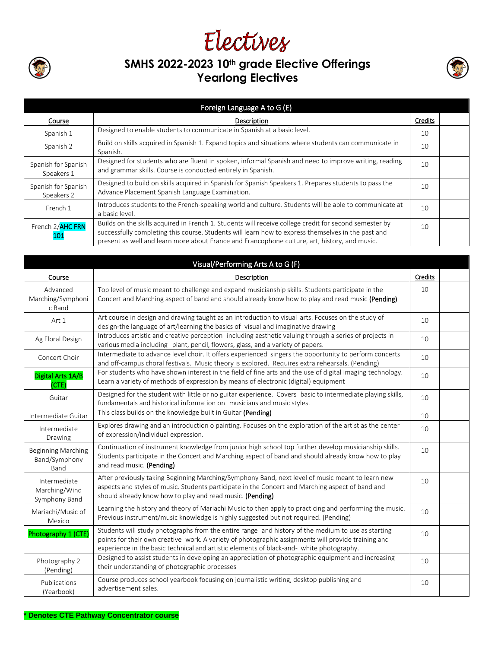

## Electives **SMHS 2022-2023 10th grade Elective Offerings Yearlong Electives**



|                                   | Foreign Language A to G (E)                                                                                                                                                                                                                                                                                   |         |  |
|-----------------------------------|---------------------------------------------------------------------------------------------------------------------------------------------------------------------------------------------------------------------------------------------------------------------------------------------------------------|---------|--|
| Course                            | Description                                                                                                                                                                                                                                                                                                   | Credits |  |
| Spanish 1                         | Designed to enable students to communicate in Spanish at a basic level.                                                                                                                                                                                                                                       | 10      |  |
| Spanish 2                         | Build on skills acquired in Spanish 1. Expand topics and situations where students can communicate in<br>Spanish.                                                                                                                                                                                             | 10      |  |
| Spanish for Spanish<br>Speakers 1 | Designed for students who are fluent in spoken, informal Spanish and need to improve writing, reading<br>and grammar skills. Course is conducted entirely in Spanish.                                                                                                                                         | 10      |  |
| Spanish for Spanish<br>Speakers 2 | Designed to build on skills acquired in Spanish for Spanish Speakers 1. Prepares students to pass the<br>Advance Placement Spanish Language Examination.                                                                                                                                                      | 10      |  |
| French 1                          | Introduces students to the French-speaking world and culture. Students will be able to communicate at<br>a basic level.                                                                                                                                                                                       | 10      |  |
| French 2/AHC FRN<br>101           | Builds on the skills acquired in French 1. Students will receive college credit for second semester by<br>successfully completing this course. Students will learn how to express themselves in the past and<br>present as well and learn more about France and Francophone culture, art, history, and music. | 10      |  |

|                                                    | Visual/Performing Arts A to G (F)                                                                                                                                                                                                                                                                     |                |  |
|----------------------------------------------------|-------------------------------------------------------------------------------------------------------------------------------------------------------------------------------------------------------------------------------------------------------------------------------------------------------|----------------|--|
| Course                                             | Description                                                                                                                                                                                                                                                                                           | <b>Credits</b> |  |
| Advanced<br>Marching/Symphoni<br>c Band            | Top level of music meant to challenge and expand musicianship skills. Students participate in the<br>Concert and Marching aspect of band and should already know how to play and read music (Pending)                                                                                                 | 10             |  |
| Art 1                                              | Art course in design and drawing taught as an introduction to visual arts. Focuses on the study of<br>design-the language of art/learning the basics of visual and imaginative drawing                                                                                                                | 10             |  |
| Ag Floral Design                                   | Introduces artistic and creative perception including aesthetic valuing through a series of projects in<br>various media including plant, pencil, flowers, glass, and a variety of papers.                                                                                                            | 10             |  |
| Concert Choir                                      | Intermediate to advance level choir. It offers experienced singers the opportunity to perform concerts<br>and off-campus choral festivals. Music theory is explored. Requires extra rehearsals. (Pending)                                                                                             | 10             |  |
| Digital Arts 1A/B<br>(CTE)                         | For students who have shown interest in the field of fine arts and the use of digital imaging technology.<br>Learn a variety of methods of expression by means of electronic (digital) equipment                                                                                                      | 10             |  |
| Guitar                                             | Designed for the student with little or no guitar experience. Covers basic to intermediate playing skills,<br>fundamentals and historical information on musicians and music styles.                                                                                                                  | 10             |  |
| Intermediate Guitar                                | This class builds on the knowledge built in Guitar (Pending)                                                                                                                                                                                                                                          | 10             |  |
| Intermediate<br>Drawing                            | Explores drawing and an introduction o painting. Focuses on the exploration of the artist as the center<br>of expression/individual expression.                                                                                                                                                       | 10             |  |
| <b>Beginning Marching</b><br>Band/Symphony<br>Band | Continuation of instrument knowledge from junior high school top further develop musicianship skills.<br>Students participate in the Concert and Marching aspect of band and should already know how to play<br>and read music. (Pending)                                                             | 10             |  |
| Intermediate<br>Marching/Wind<br>Symphony Band     | After previously taking Beginning Marching/Symphony Band, next level of music meant to learn new<br>aspects and styles of music. Students participate in the Concert and Marching aspect of band and<br>should already know how to play and read music. (Pending)                                     | 10             |  |
| Mariachi/Music of<br>Mexico                        | Learning the history and theory of Mariachi Music to then apply to practicing and performing the music.<br>Previous instrument/music knowledge is highly suggested but not required. (Pending)                                                                                                        | 10             |  |
| Photography 1 (CTE)                                | Students will study photographs from the entire range and history of the medium to use as starting<br>points for their own creative work. A variety of photographic assignments will provide training and<br>experience in the basic technical and artistic elements of black-and- white photography. | 10             |  |
| Photography 2<br>(Pending)                         | Designed to assist students in developing an appreciation of photographic equipment and increasing<br>their understanding of photographic processes                                                                                                                                                   | 10             |  |
| Publications<br>(Yearbook)                         | Course produces school yearbook focusing on journalistic writing, desktop publishing and<br>advertisement sales.                                                                                                                                                                                      | 10             |  |